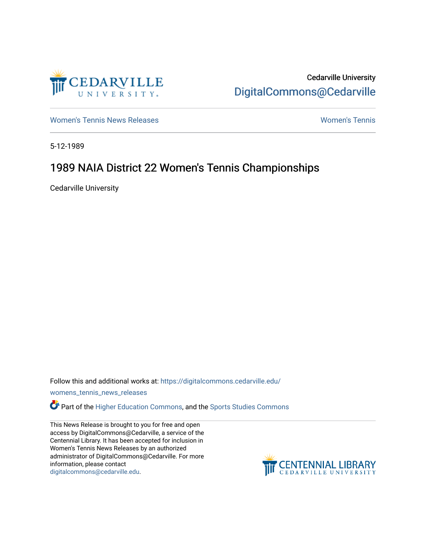

Cedarville University [DigitalCommons@Cedarville](https://digitalcommons.cedarville.edu/) 

[Women's Tennis News Releases](https://digitalcommons.cedarville.edu/womens_tennis_news_releases) [Women's Tennis](https://digitalcommons.cedarville.edu/womens_tennis) 

5-12-1989

## 1989 NAIA District 22 Women's Tennis Championships

Cedarville University

Follow this and additional works at: [https://digitalcommons.cedarville.edu/](https://digitalcommons.cedarville.edu/womens_tennis_news_releases?utm_source=digitalcommons.cedarville.edu%2Fwomens_tennis_news_releases%2F8&utm_medium=PDF&utm_campaign=PDFCoverPages)

[womens\\_tennis\\_news\\_releases](https://digitalcommons.cedarville.edu/womens_tennis_news_releases?utm_source=digitalcommons.cedarville.edu%2Fwomens_tennis_news_releases%2F8&utm_medium=PDF&utm_campaign=PDFCoverPages) 

Part of the [Higher Education Commons,](http://network.bepress.com/hgg/discipline/1245?utm_source=digitalcommons.cedarville.edu%2Fwomens_tennis_news_releases%2F8&utm_medium=PDF&utm_campaign=PDFCoverPages) and the [Sports Studies Commons](http://network.bepress.com/hgg/discipline/1198?utm_source=digitalcommons.cedarville.edu%2Fwomens_tennis_news_releases%2F8&utm_medium=PDF&utm_campaign=PDFCoverPages) 

This News Release is brought to you for free and open access by DigitalCommons@Cedarville, a service of the Centennial Library. It has been accepted for inclusion in Women's Tennis News Releases by an authorized administrator of DigitalCommons@Cedarville. For more information, please contact [digitalcommons@cedarville.edu](mailto:digitalcommons@cedarville.edu).